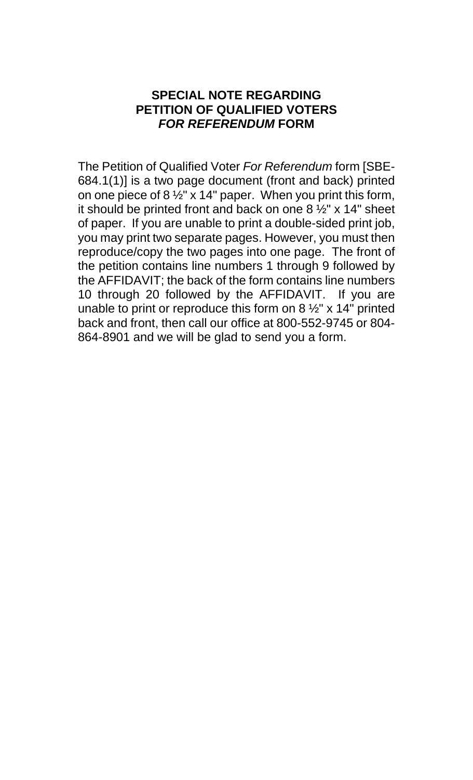## **SPECIAL NOTE REGARDING PETITION OF QUALIFIED VOTERS**  *FOR REFERENDUM* **FORM**

The Petition of Qualified Voter *For Referendum* form [SBE-684.1(1)] is a two page document (front and back) printed on one piece of 8  $\frac{1}{2}$ " x 14" paper. When you print this form, it should be printed front and back on one  $8\frac{1}{2}$ " x 14" sheet of paper. If you are unable to print a double-sided print job, you may print two separate pages. However, you must then reproduce/copy the two pages into one page. The front of the petition contains line numbers 1 through 9 followed by the AFFIDAVIT; the back of the form contains line numbers 10 through 20 followed by the AFFIDAVIT. If you are unable to print or reproduce this form on  $8\frac{1}{2}$ " x 14" printed back and front, then call our office at 800-552-9745 or 804- 864-8901 and we will be glad to send you a form.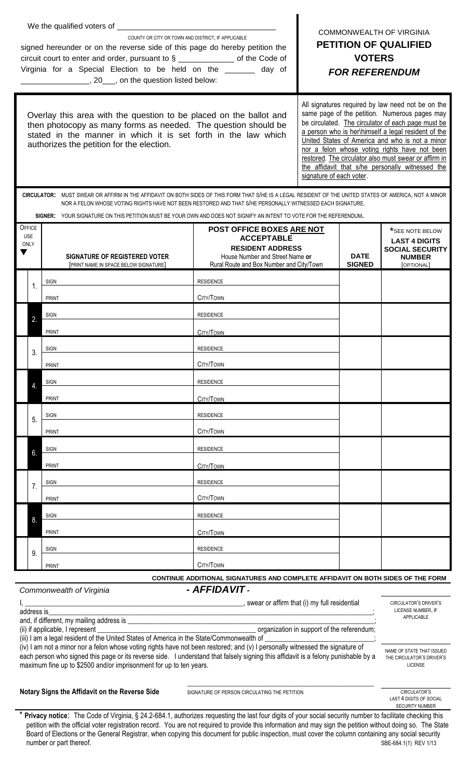|                                                                                                                              |                                                                                                                                                                                                                                                                      | COUNTY OR CITY OR TOWN AND DISTRICT. IF APPLICABLE<br>signed hereunder or on the reverse side of this page do hereby petition the<br>circuit court to enter and order, pursuant to $\S$ _________________ of the Code of<br>Virginia for a Special Election to be held on the ______ day of<br>[20, 20, an the question listed below: | <b>COMMONWEALTH OF VIRGINIA</b><br><b>PETITION OF QUALIFIED</b><br><b>VOTERS</b><br><b>FOR REFERENDUM</b>                                                                                                                                                                                                                                                                                                                                                    |  |  |                                                                                                  |  |  |
|------------------------------------------------------------------------------------------------------------------------------|----------------------------------------------------------------------------------------------------------------------------------------------------------------------------------------------------------------------------------------------------------------------|---------------------------------------------------------------------------------------------------------------------------------------------------------------------------------------------------------------------------------------------------------------------------------------------------------------------------------------|--------------------------------------------------------------------------------------------------------------------------------------------------------------------------------------------------------------------------------------------------------------------------------------------------------------------------------------------------------------------------------------------------------------------------------------------------------------|--|--|--------------------------------------------------------------------------------------------------|--|--|
|                                                                                                                              |                                                                                                                                                                                                                                                                      | Overlay this area with the question to be placed on the ballot and<br>then photocopy as many forms as needed. The question should be<br>stated in the manner in which it is set forth in the law which<br>authorizes the petition for the election.                                                                                   | All signatures required by law need not be on the<br>same page of the petition. Numerous pages may<br>be circulated. The circulator of each page must be<br>a person who is her\himself a legal resident of the<br>United States of America and who is not a minor<br>nor a felon whose voting rights have not been<br>restored. The circulator also must swear or affirm in<br>the affidavit that s/he personally witnessed the<br>signature of each voter. |  |  |                                                                                                  |  |  |
|                                                                                                                              | CIRCULATOR: MUST SWEAR OR AFFIRM IN THE AFFIDAVIT ON BOTH SIDES OF THIS FORM THAT S/HE IS A LEGAL RESIDENT OF THE UNITED STATES OF AMERICA, NOT A MINOR<br>NOR A FELON WHOSE VOTING RIGHTS HAVE NOT BEEN RESTORED AND THAT S/HE PERSONALLY WITNESSED EACH SIGNATURE. |                                                                                                                                                                                                                                                                                                                                       |                                                                                                                                                                                                                                                                                                                                                                                                                                                              |  |  |                                                                                                  |  |  |
|                                                                                                                              |                                                                                                                                                                                                                                                                      | SIGNER: YOUR SIGNATURE ON THIS PETITION MUST BE YOUR OWN AND DOES NOT SIGNIFY AN INTENT TO VOTE FOR THE REFERENDUM.                                                                                                                                                                                                                   |                                                                                                                                                                                                                                                                                                                                                                                                                                                              |  |  |                                                                                                  |  |  |
| OFFICE<br><b>USE</b><br><b>ONLY</b>                                                                                          |                                                                                                                                                                                                                                                                      | SIGNATURE OF REGISTERED VOTER<br>[PRINT NAME IN SPACE BELOW SIGNATURE]                                                                                                                                                                                                                                                                | POST OFFICE BOXES ARE NOT<br><b>ACCEPTABLE</b><br><b>RESIDENT ADDRESS</b><br>House Number and Street Name or<br>Rural Route and Box Number and City/Town                                                                                                                                                                                                                                                                                                     |  |  | *SEE NOTE BELOW<br><b>LAST 4 DIGITS</b><br><b>SOCIAL SECURITY</b><br><b>NUMBER</b><br>[OPTIONAL] |  |  |
|                                                                                                                              | 1.                                                                                                                                                                                                                                                                   | <b>SIGN</b>                                                                                                                                                                                                                                                                                                                           | <b>RESIDENCE</b>                                                                                                                                                                                                                                                                                                                                                                                                                                             |  |  |                                                                                                  |  |  |
|                                                                                                                              |                                                                                                                                                                                                                                                                      | <b>PRINT</b>                                                                                                                                                                                                                                                                                                                          | CITY/TOWN                                                                                                                                                                                                                                                                                                                                                                                                                                                    |  |  |                                                                                                  |  |  |
|                                                                                                                              |                                                                                                                                                                                                                                                                      | SIGN                                                                                                                                                                                                                                                                                                                                  | <b>RESIDENCE</b>                                                                                                                                                                                                                                                                                                                                                                                                                                             |  |  |                                                                                                  |  |  |
|                                                                                                                              |                                                                                                                                                                                                                                                                      | <b>PRINT</b>                                                                                                                                                                                                                                                                                                                          | CITY/TOWN                                                                                                                                                                                                                                                                                                                                                                                                                                                    |  |  |                                                                                                  |  |  |
|                                                                                                                              | 3.                                                                                                                                                                                                                                                                   | <b>SIGN</b>                                                                                                                                                                                                                                                                                                                           | <b>RESIDENCE</b>                                                                                                                                                                                                                                                                                                                                                                                                                                             |  |  |                                                                                                  |  |  |
|                                                                                                                              |                                                                                                                                                                                                                                                                      | <b>PRINT</b>                                                                                                                                                                                                                                                                                                                          | CITY/TOWN                                                                                                                                                                                                                                                                                                                                                                                                                                                    |  |  |                                                                                                  |  |  |
|                                                                                                                              |                                                                                                                                                                                                                                                                      | <b>SIGN</b>                                                                                                                                                                                                                                                                                                                           | <b>RESIDENCE</b>                                                                                                                                                                                                                                                                                                                                                                                                                                             |  |  |                                                                                                  |  |  |
|                                                                                                                              |                                                                                                                                                                                                                                                                      | <b>PRINT</b>                                                                                                                                                                                                                                                                                                                          | CITY/TOWN                                                                                                                                                                                                                                                                                                                                                                                                                                                    |  |  |                                                                                                  |  |  |
|                                                                                                                              | 5.                                                                                                                                                                                                                                                                   | <b>SIGN</b>                                                                                                                                                                                                                                                                                                                           | <b>RESIDENCE</b>                                                                                                                                                                                                                                                                                                                                                                                                                                             |  |  |                                                                                                  |  |  |
|                                                                                                                              |                                                                                                                                                                                                                                                                      | <b>PRINT</b>                                                                                                                                                                                                                                                                                                                          | CITY/TOWN                                                                                                                                                                                                                                                                                                                                                                                                                                                    |  |  |                                                                                                  |  |  |
|                                                                                                                              | 6.                                                                                                                                                                                                                                                                   | SIGN                                                                                                                                                                                                                                                                                                                                  | <b>RESIDENCE</b>                                                                                                                                                                                                                                                                                                                                                                                                                                             |  |  |                                                                                                  |  |  |
|                                                                                                                              |                                                                                                                                                                                                                                                                      | <b>PRINT</b>                                                                                                                                                                                                                                                                                                                          | CITY/TOWN                                                                                                                                                                                                                                                                                                                                                                                                                                                    |  |  |                                                                                                  |  |  |
|                                                                                                                              | 7.                                                                                                                                                                                                                                                                   | <b>SIGN</b>                                                                                                                                                                                                                                                                                                                           | <b>RESIDENCE</b>                                                                                                                                                                                                                                                                                                                                                                                                                                             |  |  |                                                                                                  |  |  |
|                                                                                                                              |                                                                                                                                                                                                                                                                      | <b>PRINT</b>                                                                                                                                                                                                                                                                                                                          | CITY/TOWN                                                                                                                                                                                                                                                                                                                                                                                                                                                    |  |  |                                                                                                  |  |  |
|                                                                                                                              | 8.                                                                                                                                                                                                                                                                   | SIGN                                                                                                                                                                                                                                                                                                                                  | <b>RESIDENCE</b>                                                                                                                                                                                                                                                                                                                                                                                                                                             |  |  |                                                                                                  |  |  |
|                                                                                                                              |                                                                                                                                                                                                                                                                      | <b>PRINT</b>                                                                                                                                                                                                                                                                                                                          | CITY/TOWN                                                                                                                                                                                                                                                                                                                                                                                                                                                    |  |  |                                                                                                  |  |  |
|                                                                                                                              | 9.                                                                                                                                                                                                                                                                   | <b>SIGN</b>                                                                                                                                                                                                                                                                                                                           | <b>RESIDENCE</b>                                                                                                                                                                                                                                                                                                                                                                                                                                             |  |  |                                                                                                  |  |  |
|                                                                                                                              | CITY/TOWN<br><b>PRINT</b>                                                                                                                                                                                                                                            |                                                                                                                                                                                                                                                                                                                                       |                                                                                                                                                                                                                                                                                                                                                                                                                                                              |  |  |                                                                                                  |  |  |
| CONTINUE ADDITIONAL SIGNATURES AND COMPLETE AFFIDAVIT ON BOTH SIDES OF THE FORM<br>- AFFIDAVIT -<br>Commonwealth of Virginia |                                                                                                                                                                                                                                                                      |                                                                                                                                                                                                                                                                                                                                       |                                                                                                                                                                                                                                                                                                                                                                                                                                                              |  |  |                                                                                                  |  |  |
|                                                                                                                              | CIRCULATOR'S DRIVER'S<br>LICENSE NUMBER, IF<br>address is                                                                                                                                                                                                            |                                                                                                                                                                                                                                                                                                                                       |                                                                                                                                                                                                                                                                                                                                                                                                                                                              |  |  |                                                                                                  |  |  |
|                                                                                                                              | APPLICABLE<br>organization in support of the referendum;<br>(ii) if applicable, I represent _<br><u> 1989 - Jan Barnett, fransk politik (d. 1989)</u>                                                                                                                |                                                                                                                                                                                                                                                                                                                                       |                                                                                                                                                                                                                                                                                                                                                                                                                                                              |  |  |                                                                                                  |  |  |

(iii) I am a legal resident of the United States of America in the State/Commonwealth of (iv) I am not a minor nor a felon whose voting rights have not been restored; and (v) I personally witnessed the signature of each person who signed this page or its reverse side. I understand that falsely signing this affidavit is a felony punishable by a maximum fine up to \$2500 and/or imprisonment for up to ten years.

**Notary Signs the Affidavit on the Reverse Side** SIGNATURE OF PERSON CIRCULATING THE PETITION

\_\_\_\_\_\_\_\_\_\_\_\_\_\_\_\_\_\_\_\_\_\_\_\_\_\_\_\_\_\_\_\_\_\_\_\_\_\_\_\_\_\_\_\_\_\_\_\_\_\_\_\_\_

CIRCULATOR'S LAST 4 DIGITS OF SOCIAL SECURITY NUMBER

NAME OF STATE THAT ISSUED THE CIRCULATOR'S DRIVER'S LICENSE

Privacy notice: The Code of Virginia, § 24.2-684.1, authorizes requesting the last four digits of your social security number to facilitate checking this petition with the official voter registration record. You are not required to provide this information and may sign the petition without doing so. The State Board of Elections or the General Registrar, when copying this document for public inspection, must cover the column containing any social security number or part thereof. SBE-684.1(1) REV 1/13